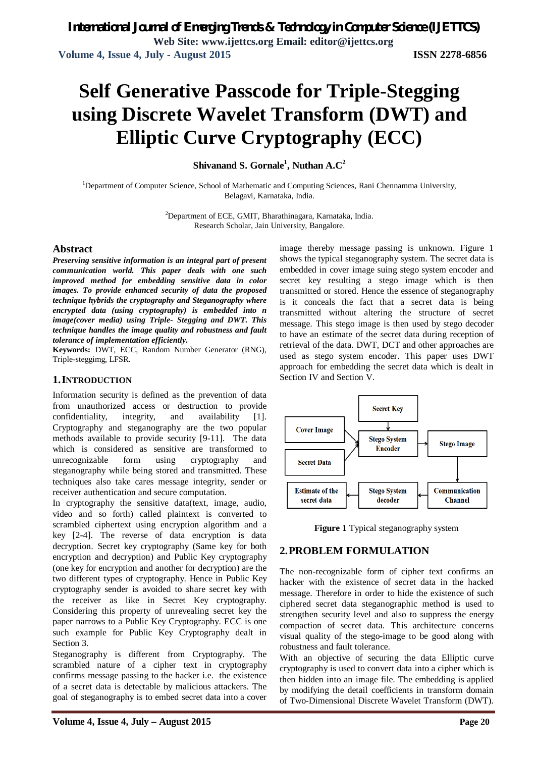# **Self Generative Passcode for Triple-Stegging using Discrete Wavelet Transform (DWT) and Elliptic Curve Cryptography (ECC)**

**Shivanand S. Gornale<sup>1</sup> , Nuthan A.C<sup>2</sup>**

<sup>1</sup>Department of Computer Science, School of Mathematic and Computing Sciences, Rani Chennamma University, Belagavi, Karnataka, India.

> <sup>2</sup>Department of ECE, GMIT, Bharathinagara, Karnataka, India. Research Scholar, Jain University, Bangalore.

#### **Abstract**

*Preserving sensitive information is an integral part of present communication world. This paper deals with one such improved method for embedding sensitive data in color images. To provide enhanced security of data the proposed technique hybrids the cryptography and Steganography where encrypted data (using cryptography) is embedded into n image(cover media) using Triple- Stegging and DWT. This technique handles the image quality and robustness and fault tolerance of implementation efficiently.*

**Keywords:** DWT, ECC, Random Number Generator (RNG), Triple-steggimg, LFSR.

#### **1.INTRODUCTION**

Information security is defined as the prevention of data from unauthorized access or destruction to provide confidentiality, integrity, and availability [1]. Cryptography and steganography are the two popular methods available to provide security [9-11]. The data which is considered as sensitive are transformed to unrecognizable form using cryptography and steganography while being stored and transmitted. These techniques also take cares message integrity, sender or receiver authentication and secure computation.

In cryptography the sensitive data(text, image, audio, video and so forth) called plaintext is converted to scrambled ciphertext using encryption algorithm and a key [2-4]. The reverse of data encryption is data decryption. Secret key cryptography (Same key for both encryption and decryption) and Public Key cryptography (one key for encryption and another for decryption) are the two different types of cryptography. Hence in Public Key cryptography sender is avoided to share secret key with the receiver as like in Secret Key cryptography. Considering this property of unrevealing secret key the paper narrows to a Public Key Cryptography. ECC is one such example for Public Key Cryptography dealt in Section 3.

Steganography is different from Cryptography. The scrambled nature of a cipher text in cryptography confirms message passing to the hacker i.e. the existence of a secret data is detectable by malicious attackers. The goal of steganography is to embed secret data into a cover

image thereby message passing is unknown. Figure 1 shows the typical steganography system. The secret data is embedded in cover image suing stego system encoder and secret key resulting a stego image which is then transmitted or stored. Hence the essence of steganography is it conceals the fact that a secret data is being transmitted without altering the structure of secret message. This stego image is then used by stego decoder to have an estimate of the secret data during reception of retrieval of the data. DWT, DCT and other approaches are used as stego system encoder. This paper uses DWT approach for embedding the secret data which is dealt in Section IV and Section V.





#### **2.PROBLEM FORMULATION**

The non-recognizable form of cipher text confirms an hacker with the existence of secret data in the hacked message. Therefore in order to hide the existence of such ciphered secret data steganographic method is used to strengthen security level and also to suppress the energy compaction of secret data. This architecture concerns visual quality of the stego-image to be good along with robustness and fault tolerance.

With an objective of securing the data Elliptic curve cryptography is used to convert data into a cipher which is then hidden into an image file. The embedding is applied by modifying the detail coefficients in transform domain of Two-Dimensional Discrete Wavelet Transform (DWT).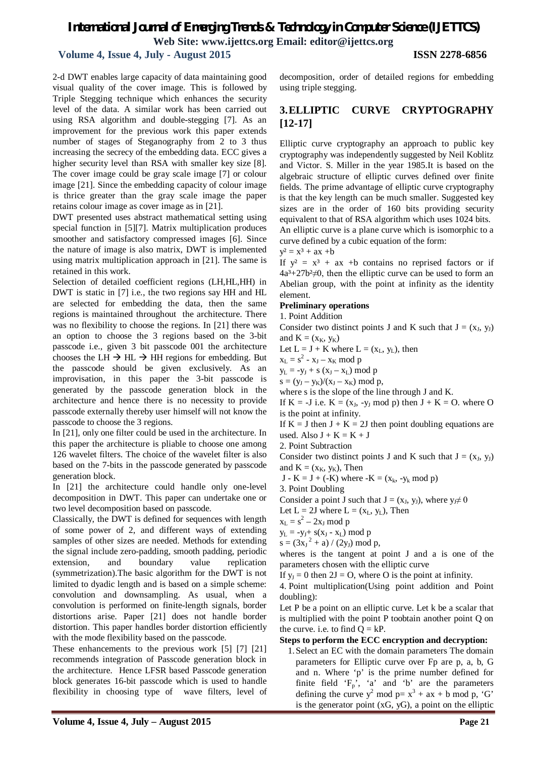#### **Volume 4, Issue 4, July - August 2015 ISSN 2278-6856**

2-d DWT enables large capacity of data maintaining good visual quality of the cover image. This is followed by Triple Stegging technique which enhances the security level of the data. A similar work has been carried out using RSA algorithm and double-stegging [7]. As an improvement for the previous work this paper extends number of stages of Steganography from 2 to 3 thus increasing the secrecy of the embedding data. ECC gives a higher security level than RSA with smaller key size [8]. The cover image could be gray scale image [7] or colour image [21]. Since the embedding capacity of colour image is thrice greater than the gray scale image the paper retains colour image as cover image as in [21].

DWT presented uses abstract mathematical setting using special function in [5][7]. Matrix multiplication produces smoother and satisfactory compressed images [6]. Since the nature of image is also matrix, DWT is implemented using matrix multiplication approach in [21]. The same is retained in this work.

Selection of detailed coefficient regions (LH,HL,HH) in DWT is static in [7] i.e., the two regions say HH and HL are selected for embedding the data, then the same regions is maintained throughout the architecture. There was no flexibility to choose the regions. In [21] there was an option to choose the 3 regions based on the 3-bit passcode i.e., given 3 bit passcode 001 the architecture chooses the LH  $\rightarrow$  HL  $\rightarrow$  HH regions for embedding. But the passcode should be given exclusively. As an improvisation, in this paper the 3-bit passcode is generated by the passcode generation block in the architecture and hence there is no necessity to provide passcode externally thereby user himself will not know the passcode to choose the 3 regions.

In [21], only one filter could be used in the architecture. In this paper the architecture is pliable to choose one among 126 wavelet filters. The choice of the wavelet filter is also based on the 7-bits in the passcode generated by passcode generation block.

In [21] the architecture could handle only one-level decomposition in DWT. This paper can undertake one or two level decomposition based on passcode.

Classically, the DWT is defined for sequences with length of some power of 2, and different ways of extending samples of other sizes are needed. Methods for extending the signal include zero-padding, smooth padding, periodic extension, and boundary value replication (symmetrization).The basic algorithm for the DWT is not limited to dyadic length and is based on a simple scheme: convolution and downsampling. As usual, when a convolution is performed on finite-length signals, border distortions arise. Paper [21] does not handle border distortion. This paper handles border distortion efficiently with the mode flexibility based on the passcode.

These enhancements to the previous work [5] [7] [21] recommends integration of Passcode generation block in the architecture. Hence LFSR based Passcode generation block generates 16-bit passcode which is used to handle flexibility in choosing type of wave filters, level of decomposition, order of detailed regions for embedding using triple stegging.

#### **3.ELLIPTIC CURVE CRYPTOGRAPHY [12-17]**

Elliptic curve cryptography an approach to public key cryptography was independently suggested by Neil Koblitz and Victor. S. Miller in the year 1985.It is based on the algebraic structure of elliptic curves defined over finite fields. The prime advantage of elliptic curve cryptography is that the key length can be much smaller. Suggested key sizes are in the order of 160 bits providing security equivalent to that of RSA algorithm which uses 1024 bits. An elliptic curve is a plane curve which is isomorphic to a curve defined by a cubic equation of the form:

 $y^2 = x^3 + ax + b$ 

If  $y^2 = x^3 + ax + b$  contains no reprised factors or if  $4a^3+27b^2 \neq 0$ , then the elliptic curve can be used to form an Abelian group, with the point at infinity as the identity element.

#### **Preliminary operations**

1. Point Addition

Consider two distinct points J and K such that  $J = (x_J, y_J)$ and  $K = (x_K, y_K)$ 

Let  $L = J + K$  where  $L = (x_L, y_L)$ , then

 $x_L = s^2 - x_J - x_K \mod p$ 

 $y_L = -y_J + s (x_J - x_L) \text{ mod } p$ 

 $s = (y_J - y_K)/(x_J - x_K) \text{ mod } p,$ 

where s is the slope of the line through J and K.

If  $K = -J$  i.e.  $K = (x_J, -y_J \mod p)$  then  $J + K = O$ . where O is the point at infinity.

If  $K = J$  then  $J + K = 2J$  then point doubling equations are used. Also  $J + K = K + J$ 

2. Point Subtraction

Consider two distinct points J and K such that  $J = (x_J, y_J)$ and  $K = (x_K, y_K)$ , Then

J - K = J + (-K) where -K = ( $x_k$ , - $y_k$  mod p)

3. Point Doubling

Consider a point J such that  $J = (x_J, y_J)$ , where  $y_J \neq 0$ 

Let  $L = 2J$  where  $L = (x_L, y_L)$ , Then

 $x_L = s^2 - 2x_J \mod p$ 

 $y_L = -y_J + s(x_J - x_L) \mod p$ 

 $s = (3x_J^2 + a) / (2y_J) \text{ mod } p,$ 

wheres is the tangent at point J and a is one of the parameters chosen with the elliptic curve

If  $y_J = 0$  then  $2J = O$ , where O is the point at infinity.

4. Point multiplication(Using point addition and Point doubling):

Let P be a point on an elliptic curve. Let k be a scalar that is multiplied with the point P toobtain another point Q on the curve. i.e. to find  $Q = kP$ .

#### **Steps to perform the ECC encryption and decryption:**

1.Select an EC with the domain parameters The domain parameters for Elliptic curve over Fp are p, a, b, G and n. Where 'p' is the prime number defined for finite field  $F_p$ , 'a' and 'b' are the parameters defining the curve  $y^2$  mod  $p = x^3 + ax + b$  mod p, 'G' is the generator point  $(xG, yG)$ , a point on the elliptic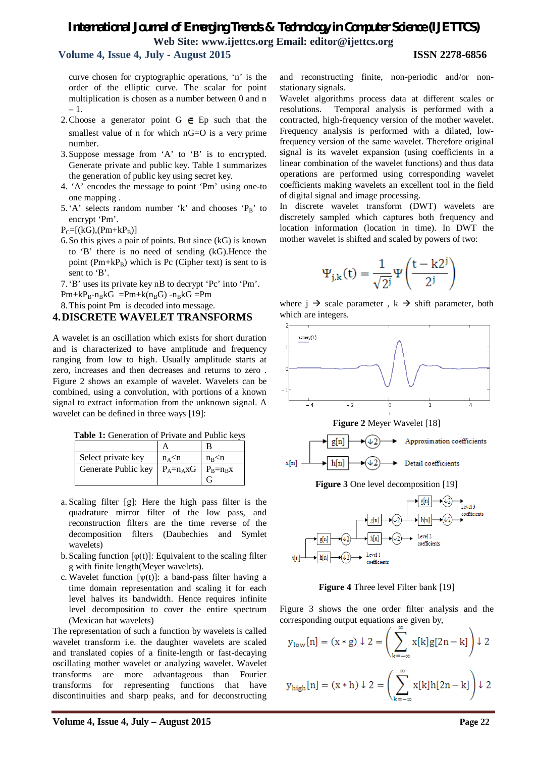#### **Volume 4, Issue 4, July - August 2015 ISSN 2278-6856**

curve chosen for cryptographic operations, 'n' is the order of the elliptic curve. The scalar for point multiplication is chosen as a number between 0 and n – 1.

- 2. Choose a generator point  $G \in E$  p such that the smallest value of n for which nG=O is a very prime number.
- 3.Suppose message from 'A' to 'B' is to encrypted. Generate private and public key. Table 1 summarizes the generation of public key using secret key.
- 4. 'A' encodes the message to point 'Pm' using one-to one mapping .
- 5.'A' selects random number 'k' and chooses ' $P_B$ ' to encrypt 'Pm'.
- $P_C=[(kG),(Pm+kP_B)]$
- 6.So this gives a pair of points. But since (kG) is known to 'B' there is no need of sending (kG).Hence the point ( $Pm+kP_B$ ) which is Pc (Cipher text) is sent to is sent to 'B'.

7.'B' uses its private key nB to decrypt 'Pc' into 'Pm'.

 $Pm+kP_{B}-n_{B}kG = Pm+k(n_{B}G) -n_{B}kG = Pm$ 

#### 8.This point Pm is decoded into message. **4.DISCRETE WAVELET TRANSFORMS**

A wavelet is an oscillation which exists for short duration and is characterized to have amplitude and frequency ranging from low to high. Usually amplitude starts at zero, increases and then decreases and returns to zero . Figure 2 shows an example of wavelet. Wavelets can be combined, using a convolution, with portions of a known signal to extract information from the unknown signal. A wavelet can be defined in three ways [19]:

**Table 1:** Generation of Private and Public keys

| Select private key                               | $n_A$ <n< td=""><td><math>n_{\rm B}</math> <math>\leq</math>n</td></n<> | $n_{\rm B}$ $\leq$ n |
|--------------------------------------------------|-------------------------------------------------------------------------|----------------------|
| Generate Public key   $P_A=n_A xG$   $P_B=n_B x$ |                                                                         |                      |

- a. Scaling filter [g]: Here the high pass filter is the quadrature mirror filter of the low pass, and reconstruction filters are the time reverse of the decomposition filters (Daubechies and Symlet wavelets)
- b. Scaling function  $[\varphi(t)]$ : Equivalent to the scaling filter g with finite length(Meyer wavelets).
- c. Wavelet function  $[\psi(t)]$ : a band-pass filter having a time domain representation and scaling it for each level halves its bandwidth. Hence requires infinite level decomposition to cover the entire spectrum (Mexican hat wavelets)

The representation of such a function by wavelets is called wavelet transform i.e. the daughter wavelets are scaled and translated copies of a finite-length or fast-decaying oscillating mother wavelet or analyzing wavelet. Wavelet transforms are more advantageous than Fourier transforms for representing functions that have discontinuities and sharp peaks, and for deconstructing

and reconstructing finite, non-periodic and/or nonstationary signals.

Wavelet algorithms process data at different scales or resolutions. Temporal analysis is performed with a contracted, high-frequency version of the mother wavelet. Frequency analysis is performed with a dilated, lowfrequency version of the same wavelet. Therefore original signal is its wavelet expansion (using coefficients in a linear combination of the wavelet functions) and thus data operations are performed using corresponding wavelet coefficients making wavelets an excellent tool in the field of digital signal and image processing.

In discrete wavelet transform (DWT) wavelets are discretely sampled which captures both frequency and location information (location in time). In DWT the mother wavelet is shifted and scaled by powers of two:

$$
\Psi_{j,k}(t)=\frac{1}{\sqrt{2^j}}\Psi\!\left(\!\frac{t-k2^j}{2^j}\!\right)
$$

where  $j \rightarrow$  scale parameter,  $k \rightarrow$  shift parameter, both which are integers.





**Figure 4** Three level Filter bank [19]

Figure 3 shows the one order filter analysis and the corresponding output equations are given by,

$$
y_{\text{low}}[n] = (x * g) \downarrow 2 = \left(\sum_{k=-\infty}^{\infty} x[k]g[2n-k]\right) \downarrow 2
$$

$$
y_{\text{high}}[n] = (x * h) \downarrow 2 = \left(\sum_{k=-\infty}^{\infty} x[k]h[2n-k]\right) \downarrow 2
$$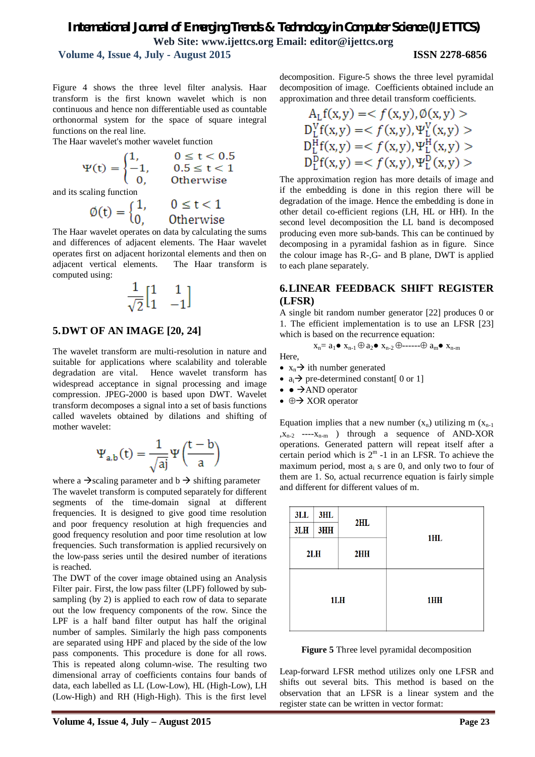**Volume 4, Issue 4, July - August 2015 ISSN 2278-6856**

Figure 4 shows the three level filter analysis. Haar transform is the first known wavelet which is non continuous and hence non differentiable used as countable orthonormal system for the space of square integral functions on the real line.

The Haar wavelet's mother wavelet function

$$
\Psi(t)=\begin{cases} 1,\quad &0\leq t<0.5\\ -1,\quad &0.5\leq t<1\\ 0,\quad &\text{Otherwise}\end{cases}
$$

and its scaling function

$$
\emptyset(t) = \begin{cases} 1, & 0 \le t < 1 \\ 0, & 0 \text{therwise} \end{cases}
$$

The Haar wavelet operates on data by calculating the sums and differences of adjacent elements. The Haar wavelet operates first on adjacent horizontal elements and then on adjacent vertical elements. The Haar transform is computed using:

$$
\frac{1}{\sqrt{2}}\begin{bmatrix} 1 & 1 \\ 1 & -1 \end{bmatrix}
$$

#### **5.DWT OF AN IMAGE [20, 24]**

The wavelet transform are multi-resolution in nature and suitable for applications where scalability and tolerable degradation are vital. Hence wavelet transform has widespread acceptance in signal processing and image compression. JPEG-2000 is based upon DWT. Wavelet transform decomposes a signal into a set of basis functions called wavelets obtained by dilations and shifting of mother wavelet:

$$
\Psi_{a,b}(t)=\frac{1}{\sqrt{aj}}\Psi\Big(\frac{t-b}{a}\Big)
$$

where a  $\rightarrow$  scaling parameter and b  $\rightarrow$  shifting parameter The wavelet transform is computed separately for different segments of the time-domain signal at different frequencies. It is designed to give good time resolution and poor frequency resolution at high frequencies and good frequency resolution and poor time resolution at low frequencies. Such transformation is applied recursively on the low-pass series until the desired number of iterations is reached.

The DWT of the cover image obtained using an Analysis Filter pair. First, the low pass filter (LPF) followed by subsampling (by 2) is applied to each row of data to separate out the low frequency components of the row. Since the LPF is a half band filter output has half the original number of samples. Similarly the high pass components are separated using HPF and placed by the side of the low pass components. This procedure is done for all rows. This is repeated along column-wise. The resulting two dimensional array of coefficients contains four bands of data, each labelled as LL (Low-Low), HL (High-Low), LH (Low-High) and RH (High-High). This is the first level

decomposition. Figure-5 shows the three level pyramidal decomposition of image. Coefficients obtained include an approximation and three detail transform coefficients.

$$
A_L f(x,y) = \langle f(x,y), \emptyset(x,y) \rangle
$$
  
\n
$$
D_L^V f(x,y) = \langle f(x,y), \Psi_L^V(x,y) \rangle
$$
  
\n
$$
D_L^H f(x,y) = \langle f(x,y), \Psi_L^H(x,y) \rangle
$$
  
\n
$$
D_L^D f(x,y) = \langle f(x,y), \Psi_L^D(x,y) \rangle
$$

The approximation region has more details of image and if the embedding is done in this region there will be degradation of the image. Hence the embedding is done in other detail co-efficient regions (LH, HL or HH). In the second level decomposition the LL band is decomposed producing even more sub-bands. This can be continued by decomposing in a pyramidal fashion as in figure. Since the colour image has R-,G- and B plane, DWT is applied to each plane separately.

#### **6.LINEAR FEEDBACK SHIFT REGISTER (LFSR)**

A single bit random number generator [22] produces 0 or 1. The efficient implementation is to use an LFSR [23] which is based on the recurrence equation:

$$
x_n = a_1 \bullet x_{n-1} \oplus a_2 \bullet x_{n-2} \oplus \cdots \cdots \oplus a_m \bullet x_{n-m}
$$

Here,

- $x_n \rightarrow$  ith number generated
- $a_i \rightarrow pre-determined constant[0 or 1]$
- $\bullet \bullet \rightarrow$ AND operator
- $\bullet \oplus \rightarrow$  XOR operator

Equation implies that a new number  $(x_n)$  utilizing m  $(x_{n-1})$  $,x_{n-2}$  ---- $x_{n-m}$  ) through a sequence of AND-XOR operations. Generated pattern will repeat itself after a certain period which is  $2^m$  -1 in an LFSR. To achieve the maximum period, most  $a_i$  s are 0, and only two to four of them are 1. So, actual recurrence equation is fairly simple and different for different values of m.

| 3L <sub>L</sub> | 3HL | 2HL |     |
|-----------------|-----|-----|-----|
| 3LH             | 3HH |     | 1HL |
|                 | 2LH | 2HH |     |
|                 |     | 1LH | 1HH |



Leap-forward LFSR method utilizes only one LFSR and shifts out several bits. This method is based on the observation that an LFSR is a linear system and the register state can be written in vector format: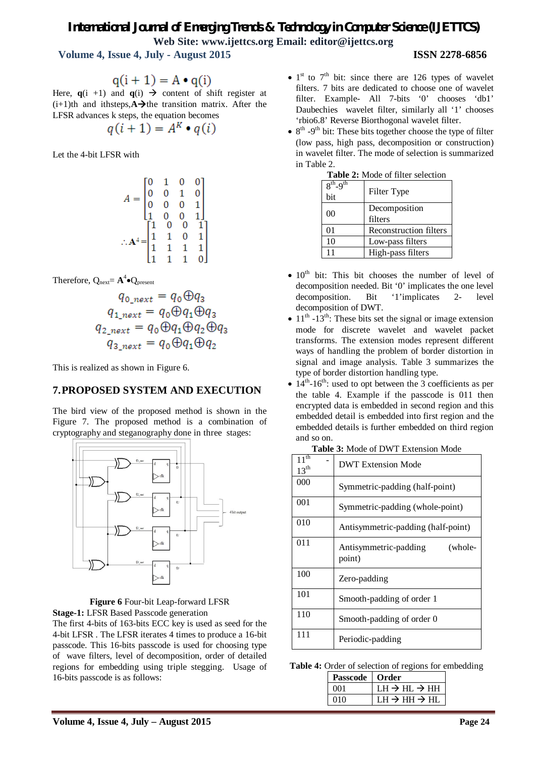# *International Journal of Emerging Trends & Technology in Computer Science (IJETTCS)*

**Web Site: www.ijettcs.org Email: editor@ijettcs.org** 

 **Volume 4, Issue 4, July - August 2015 ISSN 2278-6856**

$$
q(i + 1) = A \cdot q(i)
$$

Here,  $q(i +1)$  and  $q(i) \rightarrow$  content of shift register at  $(i+1)$ th and ithsteps, $\overrightarrow{A}$ the transition matrix. After the LFSR advances k steps, the equation becomes

$$
q(i+1) = A^K \bullet q(i)
$$

Let the 4-bit LFSR with

$$
A = \begin{bmatrix} 0 & 1 & 0 & 0 \\ 0 & 0 & 1 & 0 \\ 0 & 0 & 0 & 1 \\ 1 & 0 & 0 & 1 \\ 1 & 0 & 0 & 1 \\ 1 & 1 & 0 & 1 \\ 1 & 1 & 1 & 1 \\ 1 & 1 & 1 & 0 \end{bmatrix}
$$

Therefore,  $Q_{\text{next}} = A^4 \bullet Q_{\text{present}}$ 

$$
q_{0\_next} = q_0 \oplus q_3
$$
  
\n
$$
q_{1\_next} = q_0 \oplus q_1 \oplus q_3
$$
  
\n
$$
q_{2\_next} = q_0 \oplus q_1 \oplus q_2 \oplus q_3
$$
  
\n
$$
q_{3\_next} = q_0 \oplus q_1 \oplus q_2
$$

This is realized as shown in Figure 6.

#### **7.PROPOSED SYSTEM AND EXECUTION**

The bird view of the proposed method is shown in the Figure 7. The proposed method is a combination of cryptography and steganography done in three stages:





The first 4-bits of 163-bits ECC key is used as seed for the 4-bit LFSR . The LFSR iterates 4 times to produce a 16-bit passcode. This 16-bits passcode is used for choosing type of wave filters, level of decomposition, order of detailed regions for embedding using triple stegging. Usage of 16-bits passcode is as follows:

- $\bullet$  1<sup>st</sup> to 7<sup>th</sup> bit: since there are 126 types of wavelet filters. 7 bits are dedicated to choose one of wavelet filter. Example- All 7-bits '0' chooses 'db1' Daubechies wavelet filter, similarly all '1' chooses 'rbio6.8' Reverse Biorthogonal wavelet filter.
- $\bullet$  8<sup>th</sup> -9<sup>th</sup> bit: These bits together choose the type of filter (low pass, high pass, decomposition or construction) in wavelet filter. The mode of selection is summarized in Table 2.

| $8^{th}$ -9 <sup>th</sup> | Filter Type            |
|---------------------------|------------------------|
| bit                       |                        |
| 00                        | Decomposition          |
|                           | filters                |
| 01                        | Reconstruction filters |
| 10                        | Low-pass filters       |
| 11                        | High-pass filters      |

|  | <b>Table 2:</b> Mode of filter selection |
|--|------------------------------------------|

- $\bullet$  10<sup>th</sup> bit: This bit chooses the number of level of decomposition needed. Bit '0' implicates the one level decomposition. Bit '1'implicates 2- level decomposition of DWT.
- $\bullet$  11<sup>th</sup> -13<sup>th</sup>: These bits set the signal or image extension mode for discrete wavelet and wavelet packet transforms. The extension modes represent different ways of handling the problem of border distortion in signal and image analysis. Table 3 summarizes the type of border distortion handling type.
- $\bullet$  14<sup>th</sup>-16<sup>th</sup>: used to opt between the 3 coefficients as per the table 4. Example if the passcode is 011 then encrypted data is embedded in second region and this embedded detail is embedded into first region and the embedded details is further embedded on third region and so on.

| $11^{\overline{th}}$<br>$13^{th}$ | <b>DWT Extension Mode</b>                  |  |
|-----------------------------------|--------------------------------------------|--|
| 000                               | Symmetric-padding (half-point)             |  |
| 001                               | Symmetric-padding (whole-point)            |  |
| 010                               | Antisymmetric-padding (half-point)         |  |
| 011                               | Antisymmetric-padding<br>(whole-<br>point) |  |
| 100                               | Zero-padding                               |  |
| 101                               | Smooth-padding of order 1                  |  |
| 110                               | Smooth-padding of order 0                  |  |
| 111                               | Periodic-padding                           |  |

| <b>Table 3:</b> Mode of DWT Extension Mode |  |  |  |
|--------------------------------------------|--|--|--|
|--------------------------------------------|--|--|--|

**Table 4:** Order of selection of regions for embedding

| <b>Passcode</b> | ∣ Order                                           |
|-----------------|---------------------------------------------------|
| ൜               | $\rm LH \to HL \to HH$                            |
| 01 O            | $\rm{LH} \rightarrow \rm{HH} \rightarrow \rm{HI}$ |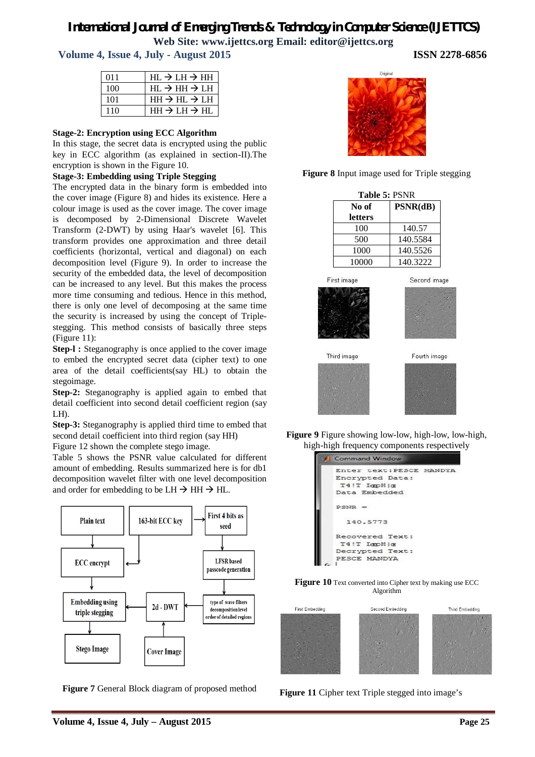## *International Journal of Emerging Trends & Technology in Computer Science (IJETTCS)*

**Web Site: www.ijettcs.org Email: editor@ijettcs.org** 

 **Volume 4, Issue 4, July - August 2015 ISSN 2278-6856**

| 011 | $HL \rightarrow LH \rightarrow HH$ |
|-----|------------------------------------|
| 100 | $HL \rightarrow HH \rightarrow LH$ |
| 101 | $HH \rightarrow HL \rightarrow LH$ |
| 110 | $HH \rightarrow LH \rightarrow HL$ |

#### **Stage-2: Encryption using ECC Algorithm**

In this stage, the secret data is encrypted using the public key in ECC algorithm (as explained in section-II).The encryption is shown in the Figure 10.

#### **Stage-3: Embedding using Triple Stegging**

The encrypted data in the binary form is embedded into the cover image (Figure 8) and hides its existence. Here a colour image is used as the cover image. The cover image is decomposed by 2-Dimensional Discrete Wavelet Transform (2-DWT) by using Haar's wavelet [6]. This transform provides one approximation and three detail coefficients (horizontal, vertical and diagonal) on each decomposition level (Figure 9). In order to increase the security of the embedded data, the level of decomposition can be increased to any level. But this makes the process more time consuming and tedious. Hence in this method, there is only one level of decomposing at the same time the security is increased by using the concept of Triplestegging. This method consists of basically three steps (Figure 11):

**Step-l :** Steganography is once applied to the cover image to embed the encrypted secret data (cipher text) to one area of the detail coefficients(say HL) to obtain the stegoimage.

**Step-2:** Steganography is applied again to embed that detail coefficient into second detail coefficient region (say LH).

**Step-3:** Steganography is applied third time to embed that second detail coefficient into third region (say HH)

Figure 12 shown the complete stego image.

Table 5 shows the PSNR value calculated for different amount of embedding. Results summarized here is for db1 decomposition wavelet filter with one level decomposition and order for embedding to be  $LH \rightarrow HH \rightarrow HL$ .



**Figure 7** General Block diagram of proposed method





| Table 5: PSNR |              |  |
|---------------|--------------|--|
| No of         | PSNR(dB)     |  |
| letters       |              |  |
| 100           | 140.57       |  |
| 500           | 140.5584     |  |
| 1000          | 140.5526     |  |
| 10000         | 140.3222     |  |
| First image   | Second image |  |
|               |              |  |
| Third image   | Fourth image |  |
|               |              |  |

**Figure 9** Figure showing low-low, high-low, low-high, high-high frequency components respectively







**Figure 11** Cipher text Triple stegged into image's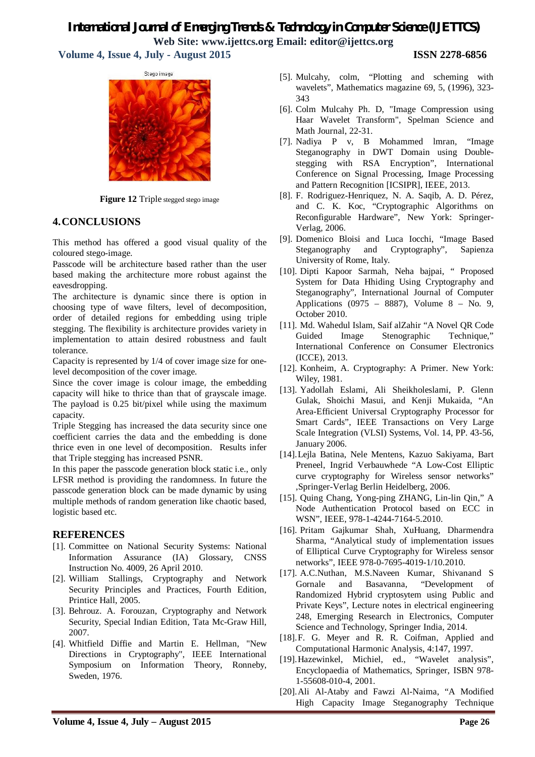**Volume 4, Issue 4, July - August 2015 ISSN 2278-6856**



**Figure 12** Triple stegged stego image

#### **4.CONCLUSIONS**

This method has offered a good visual quality of the coloured stego-image.

Passcode will be architecture based rather than the user based making the architecture more robust against the eavesdropping.

The architecture is dynamic since there is option in choosing type of wave filters, level of decomposition, order of detailed regions for embedding using triple stegging. The flexibility is architecture provides variety in implementation to attain desired robustness and fault tolerance.

Capacity is represented by 1/4 of cover image size for onelevel decomposition of the cover image.

Since the cover image is colour image, the embedding capacity will hike to thrice than that of grayscale image. The payload is 0.25 bit/pixel while using the maximum capacity.

Triple Stegging has increased the data security since one coefficient carries the data and the embedding is done thrice even in one level of decomposition. Results infer that Triple stegging has increased PSNR.

In this paper the passcode generation block static i.e., only LFSR method is providing the randomness. In future the passcode generation block can be made dynamic by using multiple methods of random generation like chaotic based, logistic based etc.

#### **REFERENCES**

- [1]. Committee on National Security Systems: National Information Assurance (IA) Glossary, CNSS Instruction No. 4009, 26 April 2010.
- [2]. William Stallings, Cryptography and Network Security Principles and Practices, Fourth Edition, Printice Hall, 2005.
- [3]. Behrouz. A. Forouzan, Cryptography and Network Security, Special Indian Edition, Tata Mc-Graw Hill, 2007.
- [4]. Whitfield Diffie and Martin E. Hellman, "New Directions in Cryptography", IEEE International Symposium on Information Theory, Ronneby, Sweden, 1976.
- [5]. Mulcahy, colm, "Plotting and scheming with wavelets", Mathematics magazine 69, 5, (1996), 323- 343
- [6]. Colm Mulcahy Ph. D, "Image Compression using Haar Wavelet Transform", Spelman Science and Math Journal, 22-31.
- [7]. Nadiya P v, B Mohammed lmran, "Image Steganography in DWT Domain using Doublestegging with RSA Encryption", International Conference on Signal Processing, Image Processing and Pattern Recognition [ICSIPR], IEEE, 2013.
- [8]. F. Rodriguez-Henriquez, N. A. Saqib, A. D. Pérez, and C. K. Koc, "Cryptographic Algorithms on Reconfigurable Hardware", New York: Springer-Verlag, 2006.
- [9]. Domenico Bloisi and Luca Iocchi, "Image Based Steganography and Cryptography", Sapienza University of Rome, Italy.
- [10]. Dipti Kapoor Sarmah, Neha bajpai, " Proposed System for Data Hhiding Using Cryptography and Steganography", International Journal of Computer Applications (0975 – 8887), Volume 8 – No. 9, October 2010.
- [11]. Md. Wahedul Islam, Saif alZahir "A Novel QR Code Guided Image Stenographic Technique," International Conference on Consumer Electronics (ICCE), 2013.
- [12]. Konheim, A. Cryptography: A Primer. New York: Wiley, 1981.
- [13]. Yadollah Eslami, Ali Sheikholeslami, P. Glenn Gulak, Shoichi Masui, and Kenji Mukaida, "An Area-Efficient Universal Cryptography Processor for Smart Cards", IEEE Transactions on Very Large Scale Integration (VLSI) Systems, Vol. 14, PP. 43-56, January 2006.
- [14].Lejla Batina, Nele Mentens, Kazuo Sakiyama, Bart Preneel, Ingrid Verbauwhede "A Low-Cost Elliptic curve cryptography for Wireless sensor networks" ,Springer-Verlag Berlin Heidelberg, 2006.
- [15]. Quing Chang, Yong-ping ZHANG, Lin-lin Qin," A Node Authentication Protocol based on ECC in WSN", IEEE, 978-1-4244-7164-5.2010.
- [16]. Pritam Gajkumar Shah, XuHuang, Dharmendra Sharma, "Analytical study of implementation issues of Elliptical Curve Cryptography for Wireless sensor networks", IEEE 978-0-7695-4019-1/10.2010.
- [17]. A.C.Nuthan, M.S.Naveen Kumar, Shivanand S Gornale and Basavanna, "Development of Randomized Hybrid cryptosytem using Public and Private Keys", Lecture notes in electrical engineering 248, Emerging Research in Electronics, Computer Science and Technology, Springer India, 2014.
- [18].F. G. Meyer and R. R. Coifman, Applied and Computational Harmonic Analysis, 4:147, 1997.
- [19].Hazewinkel, Michiel, ed., "Wavelet analysis", Encyclopaedia of Mathematics, Springer, ISBN 978- 1-55608-010-4, 2001.
- [20].Ali Al-Ataby and Fawzi Al-Naima, "A Modified High Capacity Image Steganography Technique